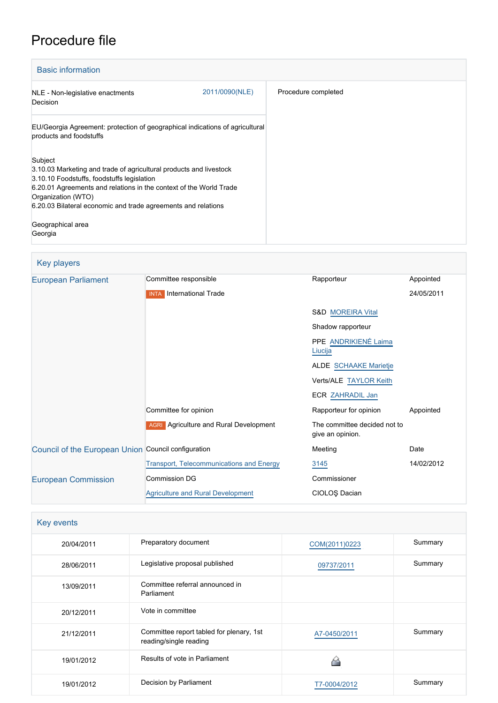# Procedure file

| <b>Basic information</b>                                                                                                                                                                                                                                                                                      |                |                     |
|---------------------------------------------------------------------------------------------------------------------------------------------------------------------------------------------------------------------------------------------------------------------------------------------------------------|----------------|---------------------|
| NLE - Non-legislative enactments<br>Decision                                                                                                                                                                                                                                                                  | 2011/0090(NLE) | Procedure completed |
| EU/Georgia Agreement: protection of geographical indications of agricultural<br>products and foodstuffs                                                                                                                                                                                                       |                |                     |
| Subject<br>3.10.03 Marketing and trade of agricultural products and livestock<br>3.10.10 Foodstuffs, foodstuffs legislation<br>6.20.01 Agreements and relations in the context of the World Trade<br>Organization (WTO)<br>6.20.03 Bilateral economic and trade agreements and relations<br>Geographical area |                |                     |
| Georgia                                                                                                                                                                                                                                                                                                       |                |                     |

## Key players

| <b>European Parliament</b>                          | Committee responsible                           | Rapporteur                                       | Appointed  |
|-----------------------------------------------------|-------------------------------------------------|--------------------------------------------------|------------|
|                                                     | <b>INTA</b> International Trade                 |                                                  | 24/05/2011 |
|                                                     |                                                 | <b>S&amp;D MOREIRA Vital</b>                     |            |
|                                                     |                                                 | Shadow rapporteur                                |            |
|                                                     |                                                 | PPE ANDRIKIENĖ Laima<br>Liucija                  |            |
|                                                     |                                                 | <b>ALDE SCHAAKE Marietje</b>                     |            |
|                                                     |                                                 | Verts/ALE TAYLOR Keith                           |            |
|                                                     |                                                 | <b>ECR ZAHRADIL Jan</b>                          |            |
|                                                     | Committee for opinion                           | Rapporteur for opinion                           | Appointed  |
|                                                     | AGRI Agriculture and Rural Development          | The committee decided not to<br>give an opinion. |            |
| Council of the European Union Council configuration |                                                 | Meeting                                          | Date       |
|                                                     | <b>Transport, Telecommunications and Energy</b> | 3145                                             | 14/02/2012 |
| <b>European Commission</b>                          | <b>Commission DG</b>                            | Commissioner                                     |            |
|                                                     | <b>Agriculture and Rural Development</b>        | CIOLOS Dacian                                    |            |

### Key events

| 20/04/2011 | Preparatory document                                               | COM(2011)0223 | Summary |
|------------|--------------------------------------------------------------------|---------------|---------|
| 28/06/2011 | Legislative proposal published                                     | 09737/2011    | Summary |
| 13/09/2011 | Committee referral announced in<br>Parliament                      |               |         |
| 20/12/2011 | Vote in committee                                                  |               |         |
| 21/12/2011 | Committee report tabled for plenary, 1st<br>reading/single reading | A7-0450/2011  | Summary |
| 19/01/2012 | Results of vote in Parliament                                      |               |         |
| 19/01/2012 | Decision by Parliament                                             | T7-0004/2012  | Summary |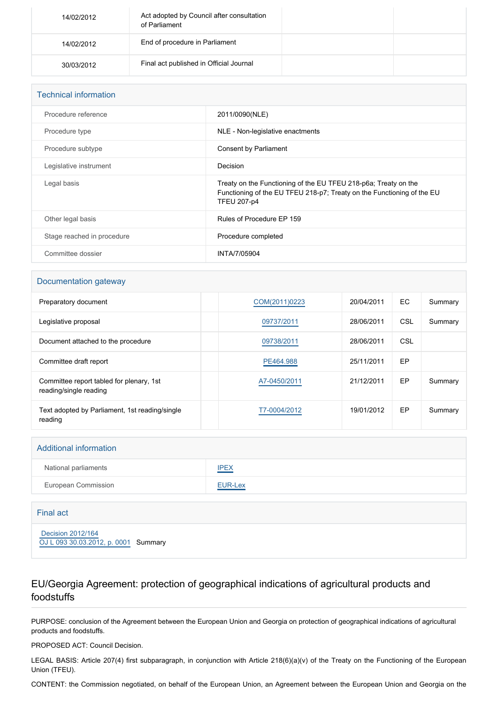| 14/02/2012 | Act adopted by Council after consultation<br>of Parliament |  |
|------------|------------------------------------------------------------|--|
| 14/02/2012 | End of procedure in Parliament                             |  |
| 30/03/2012 | Final act published in Official Journal                    |  |

| <b>Technical information</b> |                                                                                                                                                                 |
|------------------------------|-----------------------------------------------------------------------------------------------------------------------------------------------------------------|
| Procedure reference          | 2011/0090(NLE)                                                                                                                                                  |
| Procedure type               | NLE - Non-legislative enactments                                                                                                                                |
| Procedure subtype            | Consent by Parliament                                                                                                                                           |
| Legislative instrument       | Decision                                                                                                                                                        |
| Legal basis                  | Treaty on the Functioning of the EU TFEU 218-p6a; Treaty on the<br>Functioning of the EU TFEU 218-p7; Treaty on the Functioning of the EU<br><b>TFEU 207-p4</b> |
| Other legal basis            | Rules of Procedure EP 159                                                                                                                                       |
| Stage reached in procedure   | Procedure completed                                                                                                                                             |
| Committee dossier            | INTA/7/05904                                                                                                                                                    |

#### Documentation gateway

| Preparatory document                                               | COM(2011)0223 | 20/04/2011 | EC  | Summary |
|--------------------------------------------------------------------|---------------|------------|-----|---------|
| Legislative proposal                                               | 09737/2011    | 28/06/2011 | CSL | Summary |
| Document attached to the procedure                                 | 09738/2011    | 28/06/2011 | CSL |         |
| Committee draft report                                             | PE464.988     | 25/11/2011 | EP  |         |
| Committee report tabled for plenary, 1st<br>reading/single reading | A7-0450/2011  | 21/12/2011 | EP  | Summary |
| Text adopted by Parliament, 1st reading/single<br>reading          | T7-0004/2012  | 19/01/2012 | EP  | Summary |

| <b>Additional information</b> |             |
|-------------------------------|-------------|
| National parliaments          | <b>IPEX</b> |
| <b>European Commission</b>    | EUR-Lex     |
|                               |             |

| Final act                                                 |  |
|-----------------------------------------------------------|--|
| Decision 2012/164<br>OJ L 093 30.03.2012, p. 0001 Summary |  |

#### EU/Georgia Agreement: protection of geographical indications of agricultural products and foodstuffs

PURPOSE: conclusion of the Agreement between the European Union and Georgia on protection of geographical indications of agricultural products and foodstuffs.

PROPOSED ACT: Council Decision.

LEGAL BASIS: Article 207(4) first subparagraph, in conjunction with Article 218(6)(a)(v) of the Treaty on the Functioning of the European Union (TFEU).

CONTENT: the Commission negotiated, on behalf of the European Union, an Agreement between the European Union and Georgia on the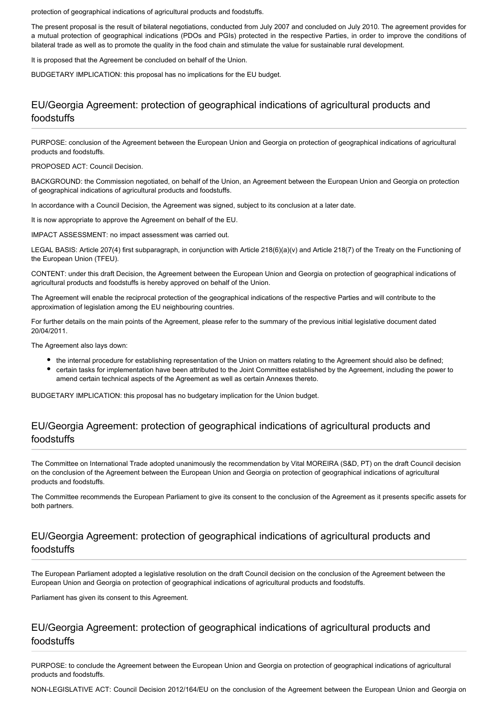protection of geographical indications of agricultural products and foodstuffs.

The present proposal is the result of bilateral negotiations, conducted from July 2007 and concluded on July 2010. The agreement provides for a mutual protection of geographical indications (PDOs and PGIs) protected in the respective Parties, in order to improve the conditions of bilateral trade as well as to promote the quality in the food chain and stimulate the value for sustainable rural development.

It is proposed that the Agreement be concluded on behalf of the Union.

BUDGETARY IMPLICATION: this proposal has no implications for the EU budget.

### EU/Georgia Agreement: protection of geographical indications of agricultural products and foodstuffs

PURPOSE: conclusion of the Agreement between the European Union and Georgia on protection of geographical indications of agricultural products and foodstuffs.

#### PROPOSED ACT: Council Decision.

BACKGROUND: the Commission negotiated, on behalf of the Union, an Agreement between the European Union and Georgia on protection of geographical indications of agricultural products and foodstuffs.

In accordance with a Council Decision, the Agreement was signed, subject to its conclusion at a later date.

It is now appropriate to approve the Agreement on behalf of the EU.

IMPACT ASSESSMENT: no impact assessment was carried out.

LEGAL BASIS: Article 207(4) first subparagraph, in conjunction with Article 218(6)(a)(v) and Article 218(7) of the Treaty on the Functioning of the European Union (TFEU).

CONTENT: under this draft Decision, the Agreement between the European Union and Georgia on protection of geographical indications of agricultural products and foodstuffs is hereby approved on behalf of the Union.

The Agreement will enable the reciprocal protection of the geographical indications of the respective Parties and will contribute to the approximation of legislation among the EU neighbouring countries.

For further details on the main points of the Agreement, please refer to the summary of the previous initial legislative document dated 20/04/2011.

The Agreement also lays down:

- the internal procedure for establishing representation of the Union on matters relating to the Agreement should also be defined;
- certain tasks for implementation have been attributed to the Joint Committee established by the Agreement, including the power to amend certain technical aspects of the Agreement as well as certain Annexes thereto.

BUDGETARY IMPLICATION: this proposal has no budgetary implication for the Union budget.

#### EU/Georgia Agreement: protection of geographical indications of agricultural products and foodstuffs

The Committee on International Trade adopted unanimously the recommendation by Vital MOREIRA (S&D, PT) on the draft Council decision on the conclusion of the Agreement between the European Union and Georgia on protection of geographical indications of agricultural products and foodstuffs.

The Committee recommends the European Parliament to give its consent to the conclusion of the Agreement as it presents specific assets for both partners.

#### EU/Georgia Agreement: protection of geographical indications of agricultural products and foodstuffs

The European Parliament adopted a legislative resolution on the draft Council decision on the conclusion of the Agreement between the European Union and Georgia on protection of geographical indications of agricultural products and foodstuffs.

Parliament has given its consent to this Agreement.

#### EU/Georgia Agreement: protection of geographical indications of agricultural products and foodstuffs

PURPOSE: to conclude the Agreement between the European Union and Georgia on protection of geographical indications of agricultural products and foodstuffs.

NON-LEGISLATIVE ACT: Council Decision 2012/164/EU on the conclusion of the Agreement between the European Union and Georgia on